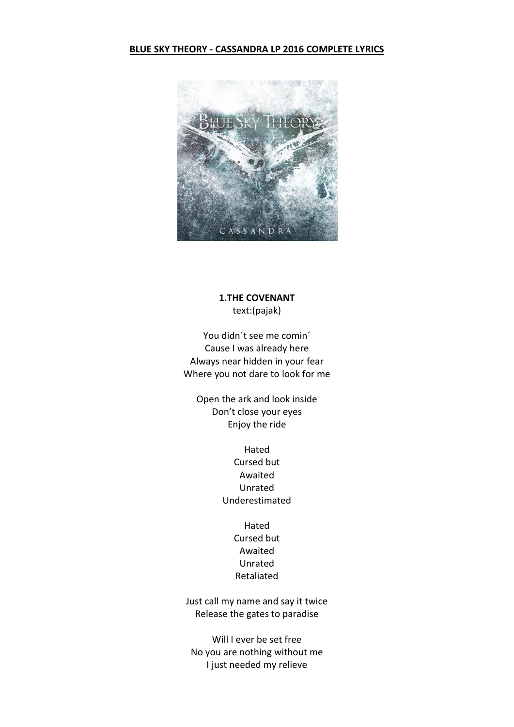#### **BLUE SKY THEORY - CASSANDRA LP 2016 COMPLETE LYRICS**



# **1.THE COVENANT** text:(pajak)

You didn´t see me comin´ Cause I was already here Always near hidden in your fear Where you not dare to look for me

Open the ark and look inside Don't close your eyes Enjoy the ride

> Hated Cursed but Awaited Unrated Underestimated

> > Hated Cursed but Awaited Unrated Retaliated

Just call my name and say it twice Release the gates to paradise

Will I ever be set free No you are nothing without me I just needed my relieve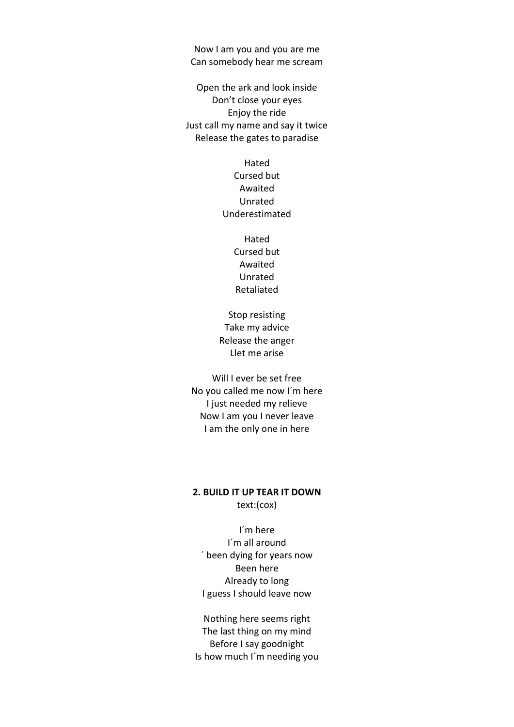Now I am you and you are me Can somebody hear me scream

Open the ark and look inside Don't close your eyes Enjoy the ride Just call my name and say it twice Release the gates to paradise

> Hated Cursed but Awaited Unrated Underestimated

> > Hated Cursed but Awaited Unrated Retaliated

Stop resisting Take my advice Release the anger Llet me arise

Will I ever be set free No you called me now I´m here I just needed my relieve Now I am you I never leave I am the only one in here

## **2. BUILD IT UP TEAR IT DOWN** text:(cox)

I´m here I´m all around ´ been dying for years now Been here Already to long I guess I should leave now

Nothing here seems right The last thing on my mind Before I say goodnight Is how much I´m needing you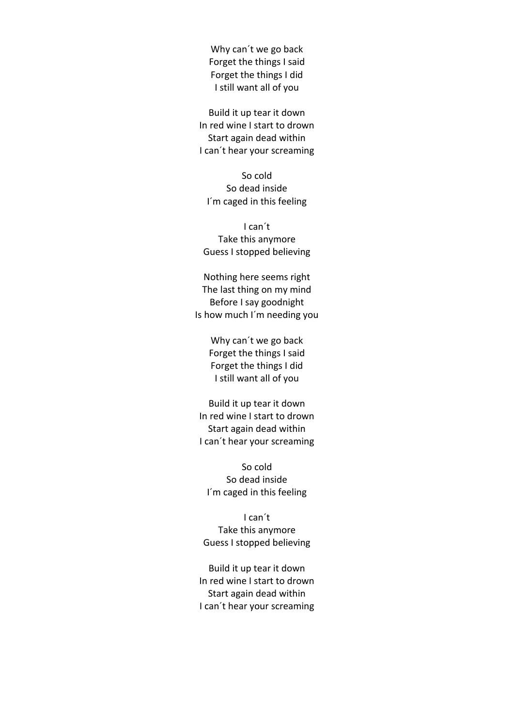Why can´t we go back Forget the things I said Forget the things I did I still want all of you

Build it up tear it down In red wine I start to drown Start again dead within I can´t hear your screaming

So cold So dead inside I´m caged in this feeling

I can´t Take this anymore Guess I stopped believing

Nothing here seems right The last thing on my mind Before I say goodnight Is how much I´m needing you

> Why can´t we go back Forget the things I said Forget the things I did I still want all of you

Build it up tear it down In red wine I start to drown Start again dead within I can´t hear your screaming

So cold So dead inside I´m caged in this feeling

I can´t Take this anymore Guess I stopped believing

Build it up tear it down In red wine I start to drown Start again dead within I can´t hear your screaming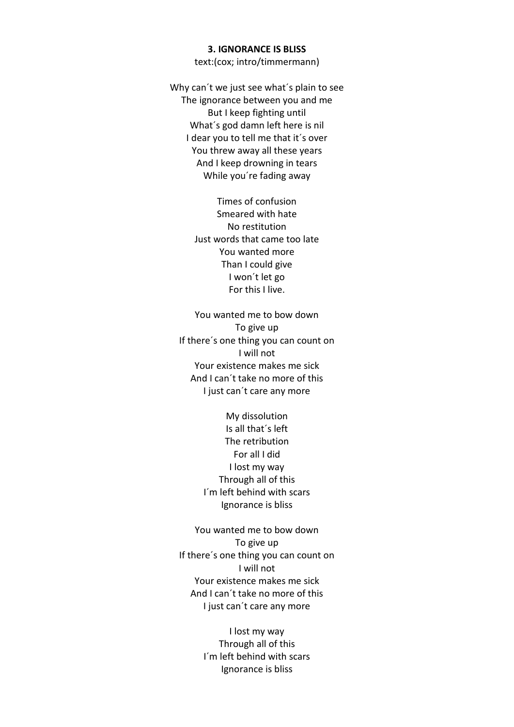#### **3. IGNORANCE IS BLISS**

text:(cox; intro/timmermann)

Why can´t we just see what´s plain to see The ignorance between you and me But I keep fighting until What´s god damn left here is nil I dear you to tell me that it´s over You threw away all these years And I keep drowning in tears While you´re fading away

> Times of confusion Smeared with hate No restitution Just words that came too late You wanted more Than I could give I won´t let go For this I live.

You wanted me to bow down To give up If there's one thing you can count on I will not Your existence makes me sick And I can´t take no more of this I just can´t care any more

> My dissolution Is all that´s left The retribution For all I did I lost my way Through all of this I´m left behind with scars Ignorance is bliss

You wanted me to bow down To give up If there´s one thing you can count on I will not Your existence makes me sick And I can´t take no more of this I just can´t care any more

> I lost my way Through all of this I´m left behind with scars Ignorance is bliss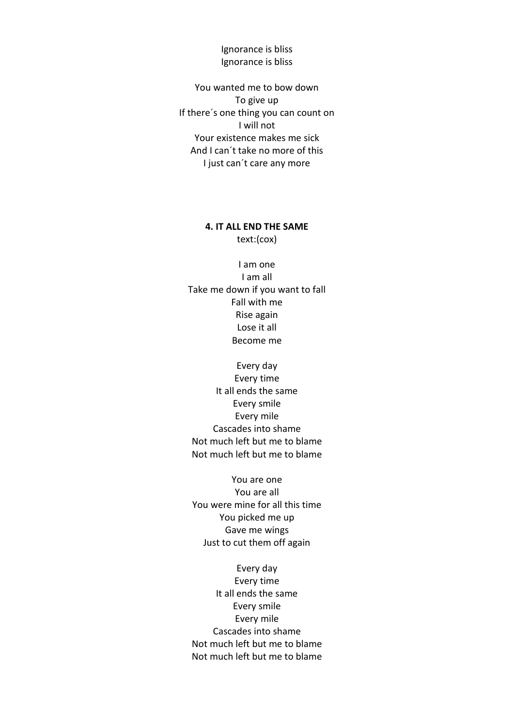Ignorance is bliss Ignorance is bliss

You wanted me to bow down To give up If there´s one thing you can count on I will not Your existence makes me sick And I can´t take no more of this I just can´t care any more

## **4. IT ALL END THE SAME** text:(cox)

I am one I am all Take me down if you want to fall Fall with me Rise again Lose it all Become me

Every day Every time It all ends the same Every smile Every mile Cascades into shame Not much left but me to blame Not much left but me to blame

You are one You are all You were mine for all this time You picked me up Gave me wings Just to cut them off again

Every day Every time It all ends the same Every smile Every mile Cascades into shame Not much left but me to blame Not much left but me to blame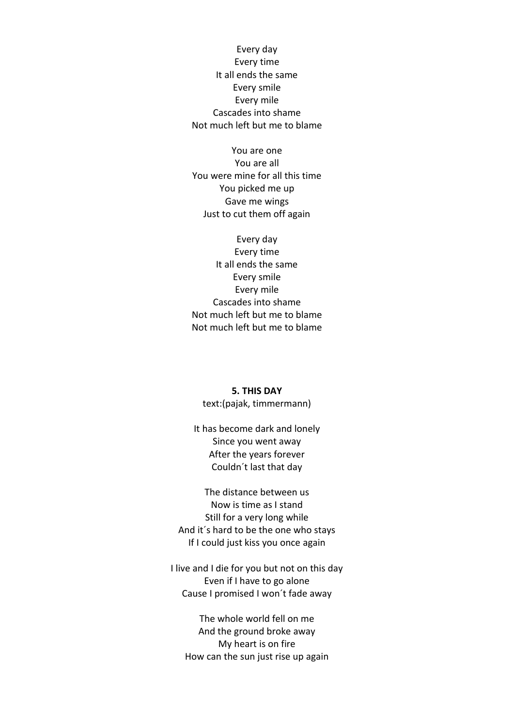Every day Every time It all ends the same Every smile Every mile Cascades into shame Not much left but me to blame

You are one You are all You were mine for all this time You picked me up Gave me wings Just to cut them off again

Every day Every time It all ends the same Every smile Every mile Cascades into shame Not much left but me to blame Not much left but me to blame

# **5. THIS DAY**

text:(pajak, timmermann)

It has become dark and lonely Since you went away After the years forever Couldn´t last that day

The distance between us Now is time as I stand Still for a very long while And it´s hard to be the one who stays If I could just kiss you once again

I live and I die for you but not on this day Even if I have to go alone Cause I promised I won´t fade away

The whole world fell on me And the ground broke away My heart is on fire How can the sun just rise up again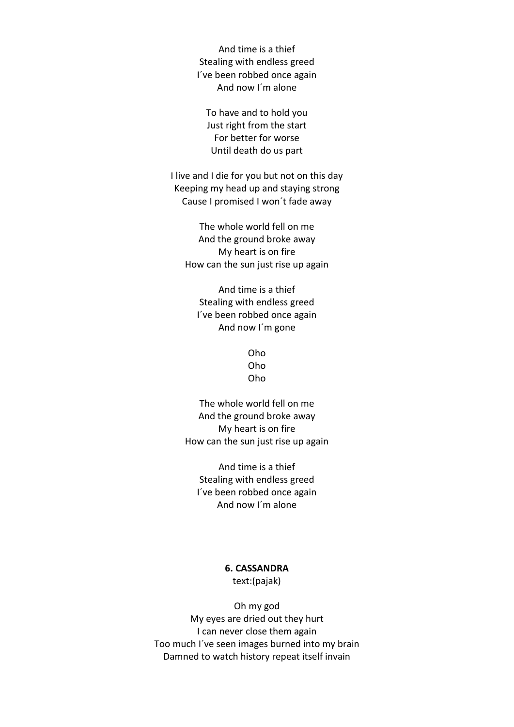And time is a thief Stealing with endless greed I´ve been robbed once again And now I´m alone

To have and to hold you Just right from the start For better for worse Until death do us part

I live and I die for you but not on this day Keeping my head up and staying strong Cause I promised I won´t fade away

The whole world fell on me And the ground broke away My heart is on fire How can the sun just rise up again

And time is a thief Stealing with endless greed I´ve been robbed once again And now I´m gone

> Oho Oho Oho

The whole world fell on me And the ground broke away My heart is on fire How can the sun just rise up again

And time is a thief Stealing with endless greed I´ve been robbed once again And now I´m alone

### **6. CASSANDRA** text:(pajak)

Oh my god My eyes are dried out they hurt I can never close them again Too much I´ve seen images burned into my brain Damned to watch history repeat itself invain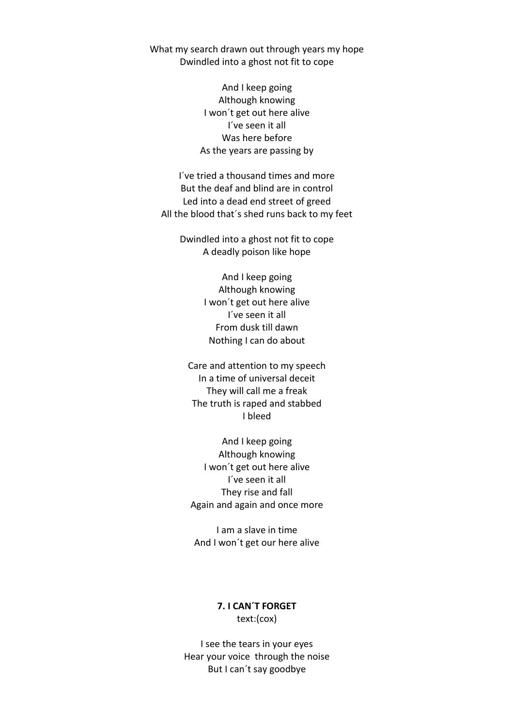What my search drawn out through years my hope Dwindled into a ghost not fit to cope

> And I keep going Although knowing I won´t get out here alive I´ve seen it all Was here before As the years are passing by

I´ve tried a thousand times and more But the deaf and blind are in control Led into a dead end street of greed All the blood that´s shed runs back to my feet

Dwindled into a ghost not fit to cope A deadly poison like hope

> And I keep going Although knowing I won´t get out here alive I´ve seen it all From dusk till dawn Nothing I can do about

Care and attention to my speech In a time of universal deceit They will call me a freak The truth is raped and stabbed I bleed

And I keep going Although knowing I won´t get out here alive I´ve seen it all They rise and fall Again and again and once more

I am a slave in time And I won´t get our here alive

> **7. I CAN´T FORGET** text:(cox)

I see the tears in your eyes Hear your voice through the noise But I can´t say goodbye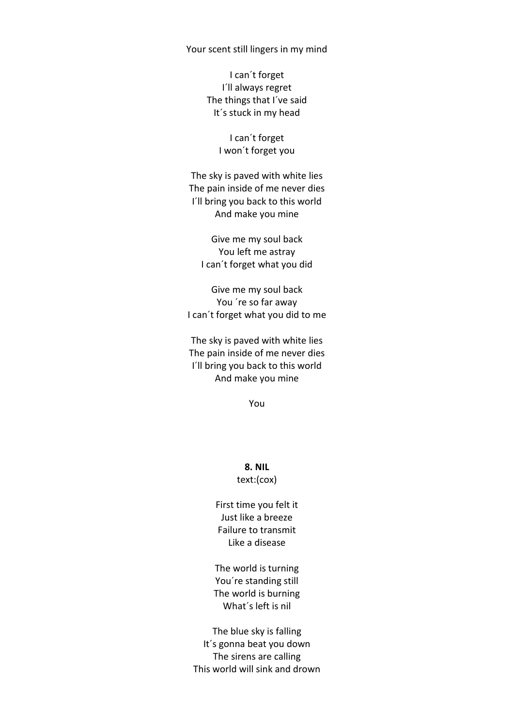#### Your scent still lingers in my mind

I can´t forget I´ll always regret The things that I´ve said It´s stuck in my head

> I can´t forget I won´t forget you

The sky is paved with white lies The pain inside of me never dies I´ll bring you back to this world And make you mine

Give me my soul back You left me astray I can´t forget what you did

Give me my soul back You ´re so far away I can´t forget what you did to me

The sky is paved with white lies The pain inside of me never dies I´ll bring you back to this world And make you mine

You

**8. NIL** text:(cox)

First time you felt it Just like a breeze Failure to transmit Like a disease

The world is turning You´re standing still The world is burning What´s left is nil

The blue sky is falling It´s gonna beat you down The sirens are calling This world will sink and drown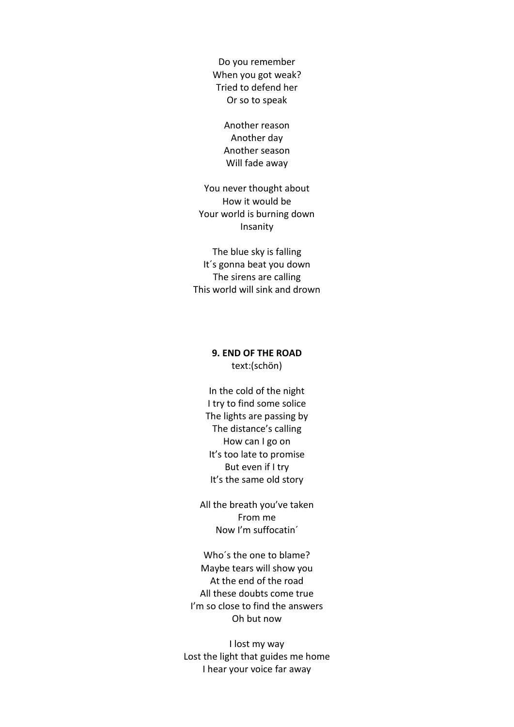Do you remember When you got weak? Tried to defend her Or so to speak

> Another reason Another day Another season Will fade away

You never thought about How it would be Your world is burning down Insanity

The blue sky is falling It´s gonna beat you down The sirens are calling This world will sink and drown

# **9. END OF THE ROAD** text:(schön)

In the cold of the night I try to find some solice The lights are passing by The distance's calling How can I go on It's too late to promise But even if I try It's the same old story

All the breath you've taken From me Now I'm suffocatin´

Who´s the one to blame? Maybe tears will show you At the end of the road All these doubts come true I'm so close to find the answers Oh but now

I lost my way Lost the light that guides me home I hear your voice far away